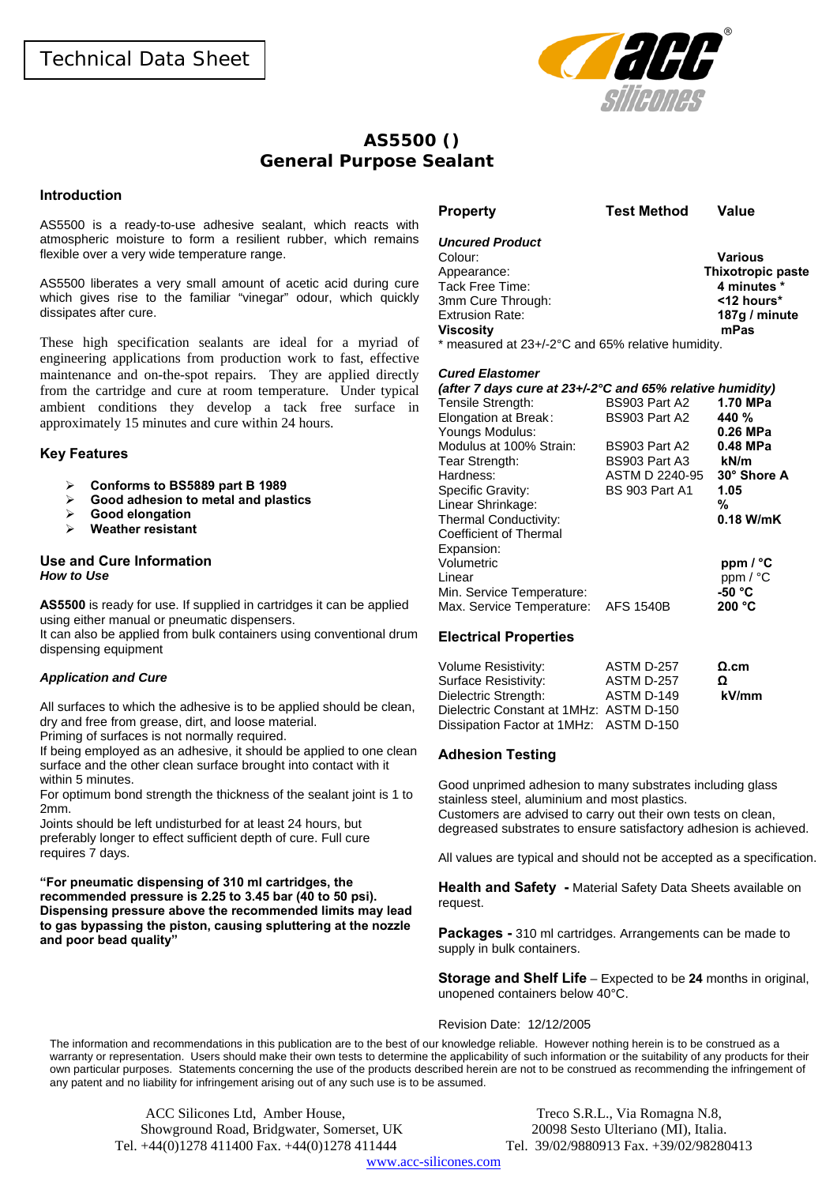

# **AS5500 () General Purpose Sealant**

### **Introduction**

AS5500 is a ready-to-use adhesive sealant, which reacts with atmospheric moisture to form a resilient rubber, which remains flexible over a very wide temperature range.

AS5500 liberates a very small amount of acetic acid during cure which gives rise to the familiar "vinegar" odour, which quickly dissipates after cure.

These high specification sealants are ideal for a myriad of engineering applications from production work to fast, effective maintenance and on-the-spot repairs. They are applied directly from the cartridge and cure at room temperature. Under typical ambient conditions they develop a tack free surface in approximately 15 minutes and cure within 24 hours.

#### **Key Features**

- ¾ **Conforms to BS5889 part B 1989**
- ¾ **Good adhesion to metal and plastics**
- ¾ **Good elongation**
- ¾ **Weather resistant**

#### **Use and Cure Information**  *How to Use*

**AS5500** is ready for use. If supplied in cartridges it can be applied using either manual or pneumatic dispensers.

It can also be applied from bulk containers using conventional drum dispensing equipment

#### *Application and Cure*

All surfaces to which the adhesive is to be applied should be clean, dry and free from grease, dirt, and loose material.

Priming of surfaces is not normally required.

If being employed as an adhesive, it should be applied to one clean surface and the other clean surface brought into contact with it within 5 minutes.

For optimum bond strength the thickness of the sealant joint is 1 to 2mm.

Joints should be left undisturbed for at least 24 hours, but preferably longer to effect sufficient depth of cure. Full cure requires 7 days.

**"For pneumatic dispensing of 310 ml cartridges, the recommended pressure is 2.25 to 3.45 bar (40 to 50 psi). Dispensing pressure above the recommended limits may lead to gas bypassing the piston, causing spluttering at the nozzle and poor bead quality"** 

| <b>Uncured Product</b>                               |                          |
|------------------------------------------------------|--------------------------|
| Colour:                                              | <b>Various</b>           |
| Appearance:                                          | <b>Thixotropic paste</b> |
| Tack Free Time:                                      | 4 minutes *              |
| 3mm Cure Through:                                    | $12$ hours*              |
| <b>Extrusion Rate:</b>                               | 187g / minute            |
| <b>Viscosity</b>                                     | mPas                     |
| $*$ measured at $23+290$ and $65%$ relative bumidity |                          |

neasured at 23+/-2°C and 65% relative humidity.

**Property Test Method Value** 

#### *Cured Elastomer*

| (after 7 days cure at $23 + / -2$ °C and 65% relative humidity)<br>Tensile Strength: | BS903 Part A2         | 1.70 MPa         |
|--------------------------------------------------------------------------------------|-----------------------|------------------|
| Elongation at Break:                                                                 | BS903 Part A2         | 440 <sup>%</sup> |
| Youngs Modulus:                                                                      |                       | 0.26 MPa         |
| Modulus at 100% Strain:                                                              | BS903 Part A2         | 0.48 MPa         |
| Tear Strength:                                                                       | BS903 Part A3         | kN/m             |
| Hardness:                                                                            | ASTM D 2240-95        | 30° Shore A      |
| Specific Gravity:                                                                    | <b>BS 903 Part A1</b> | 1.05             |
| Linear Shrinkage:                                                                    |                       | %                |
| Thermal Conductivity:                                                                |                       | $0.18$ W/mK      |
| Coefficient of Thermal                                                               |                       |                  |
| Expansion:                                                                           |                       |                  |
| Volumetric                                                                           |                       | ppm / °C         |
| Linear                                                                               |                       | ppm / °C         |
| Min. Service Temperature:                                                            |                       | -50 °C           |
| Max. Service Temperature:                                                            | <b>AFS 1540B</b>      | 200 °C           |

## **Electrical Properties**

| <b>Volume Resistivity:</b>              | ASTM D-257 | $\Omega$ .cm |
|-----------------------------------------|------------|--------------|
| Surface Resistivity:                    | ASTM D-257 | Ω            |
| Dielectric Strength:                    | ASTM D-149 | kV/mm        |
| Dielectric Constant at 1MHz: ASTM D-150 |            |              |
| Dissipation Factor at 1MHz: ASTM D-150  |            |              |

## **Adhesion Testing**

Good unprimed adhesion to many substrates including glass stainless steel, aluminium and most plastics. Customers are advised to carry out their own tests on clean, degreased substrates to ensure satisfactory adhesion is achieved.

All values are typical and should not be accepted as a specification.

**Health and Safety -** Material Safety Data Sheets available on request.

**Packages -** 310 ml cartridges. Arrangements can be made to supply in bulk containers.

**Storage and Shelf Life** – Expected to be **24** months in original, unopened containers below 40°C.

#### Revision Date: 12/12/2005

The information and recommendations in this publication are to the best of our knowledge reliable. However nothing herein is to be construed as a warranty or representation. Users should make their own tests to determine the applicability of such information or the suitability of any products for their own particular purposes. Statements concerning the use of the products described herein are not to be construed as recommending the infringement of any patent and no liability for infringement arising out of any such use is to be assumed.

ACC Silicones Ltd, Amber House, Treco S.R.L., Via Romagna N.8, Showground Road, Bridgwater, Somerset, UK 20098 Sesto Ulteriano (MI), Italia. Tel. +44(0)1278 411400 Fax. +44(0)1278 411444 Tel. 39/02/9880913 Fax. +39/02/98280413

www.acc-silicones.com